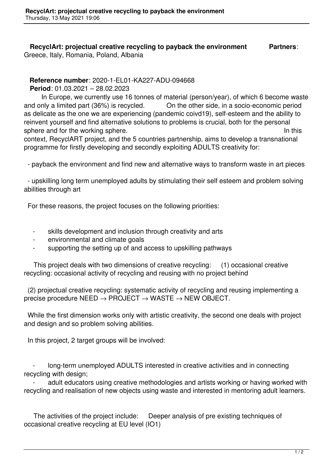## **RecyclArt: projectual creative recycling to payback the environment Partners**: Greece, Italy, Romania, Poland, Albania

## **Reference number**: 2020-1-EL01-KA227-ADU-094668

**Period**: 01.03.2021 – 28.02.2023

 In Europe, we currently use 16 tonnes of material (person/year), of which 6 become waste and only a limited part (36%) is recycled. On the other side, in a socio-economic period as delicate as the one we are experiencing (pandemic coivd19), self-esteem and the ability to reinvent yourself and find alternative solutions to problems is crucial, both for the personal sphere and for the working sphere. In this sphere and for the working sphere.

context, RecyclART project, and the 5 countries partnership, aims to develop a transnational programme for firstly developing and secondly exploiting ADULTS creativity for:

- payback the environment and find new and alternative ways to transform waste in art pieces

 - upskilling long term unemployed adults by stimulating their self esteem and problem solving abilities through art

For these reasons, the project focuses on the following priorities:

- skills development and inclusion through creativity and arts
- environmental and climate goals
- supporting the setting up of and access to upskilling pathways

 This project deals with two dimensions of creative recycling: (1) occasional creative recycling: occasional activity of recycling and reusing with no project behind

 (2) projectual creative recycling: systematic activity of recycling and reusing implementing a precise procedure NEED → PROJECT → WASTE → NEW OBJECT.

 While the first dimension works only with artistic creativity, the second one deals with project and design and so problem solving abilities.

In this project, 2 target groups will be involved:

 - long-term unemployed ADULTS interested in creative activities and in connecting recycling with design;

adult educators using creative methodologies and artists working or having worked with recycling and realisation of new objects using waste and interested in mentoring adult learners.

 The activities of the project include: Deeper analysis of pre existing techniques of occasional creative recycling at EU level (IO1)